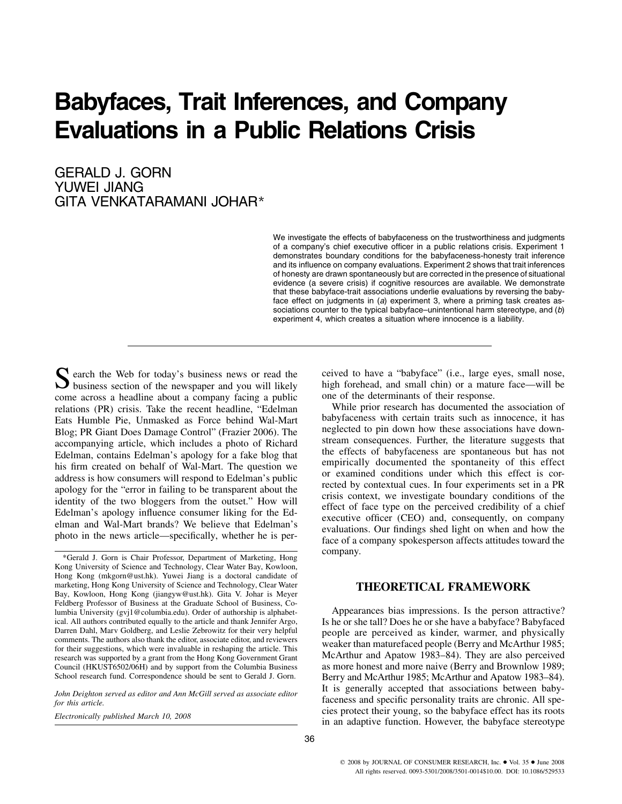# **Babyfaces, Trait Inferences, and Company Evaluations in a Public Relations Crisis**

GERALD J. GORN YUWEI JIANG GITA VENKATARAMANI JOHAR\*

> We investigate the effects of babyfaceness on the trustworthiness and judgments of a company's chief executive officer in a public relations crisis. Experiment 1 demonstrates boundary conditions for the babyfaceness-honesty trait inference and its influence on company evaluations. Experiment 2 shows that trait inferences of honesty are drawn spontaneously but are corrected in the presence of situational evidence (a severe crisis) if cognitive resources are available. We demonstrate that these babyface-trait associations underlie evaluations by reversing the babyface effect on judgments in (*a*) experiment 3, where a priming task creates associations counter to the typical babyface–unintentional harm stereotype, and (*b*) experiment 4, which creates a situation where innocence is a liability.

Search the Web for today's business news or read the business section of the newspaper and you will likely come across a headline about a company facing a public relations (PR) crisis. Take the recent headline, "Edelman Eats Humble Pie, Unmasked as Force behind Wal-Mart Blog; PR Giant Does Damage Control" (Frazier 2006). The accompanying article, which includes a photo of Richard Edelman, contains Edelman's apology for a fake blog that his firm created on behalf of Wal-Mart. The question we address is how consumers will respond to Edelman's public apology for the "error in failing to be transparent about the identity of the two bloggers from the outset." How will Edelman's apology influence consumer liking for the Edelman and Wal-Mart brands? We believe that Edelman's photo in the news article—specifically, whether he is per-

\*Gerald J. Gorn is Chair Professor, Department of Marketing, Hong Kong University of Science and Technology, Clear Water Bay, Kowloon, Hong Kong (mkgorn@ust.hk). Yuwei Jiang is a doctoral candidate of marketing, Hong Kong University of Science and Technology, Clear Water Bay, Kowloon, Hong Kong (jiangyw@ust.hk). Gita V. Johar is Meyer Feldberg Professor of Business at the Graduate School of Business, Columbia University (gvj1@columbia.edu). Order of authorship is alphabetical. All authors contributed equally to the article and thank Jennifer Argo, Darren Dahl, Marv Goldberg, and Leslie Zebrowitz for their very helpful comments. The authors also thank the editor, associate editor, and reviewers for their suggestions, which were invaluable in reshaping the article. This research was supported by a grant from the Hong Kong Government Grant Council (HKUST6502/06H) and by support from the Columbia Business School research fund. Correspondence should be sent to Gerald J. Gorn.

*John Deighton served as editor and Ann McGill served as associate editor for this article.*

*Electronically published March 10, 2008*

ceived to have a "babyface" (i.e., large eyes, small nose, high forehead, and small chin) or a mature face—will be one of the determinants of their response.

While prior research has documented the association of babyfaceness with certain traits such as innocence, it has neglected to pin down how these associations have downstream consequences. Further, the literature suggests that the effects of babyfaceness are spontaneous but has not empirically documented the spontaneity of this effect or examined conditions under which this effect is corrected by contextual cues. In four experiments set in a PR crisis context, we investigate boundary conditions of the effect of face type on the perceived credibility of a chief executive officer (CEO) and, consequently, on company evaluations. Our findings shed light on when and how the face of a company spokesperson affects attitudes toward the company.

# **THEORETICAL FRAMEWORK**

Appearances bias impressions. Is the person attractive? Is he or she tall? Does he or she have a babyface? Babyfaced people are perceived as kinder, warmer, and physically weaker than maturefaced people (Berry and McArthur 1985; McArthur and Apatow 1983–84). They are also perceived as more honest and more naive (Berry and Brownlow 1989; Berry and McArthur 1985; McArthur and Apatow 1983–84). It is generally accepted that associations between babyfaceness and specific personality traits are chronic. All species protect their young, so the babyface effect has its roots in an adaptive function. However, the babyface stereotype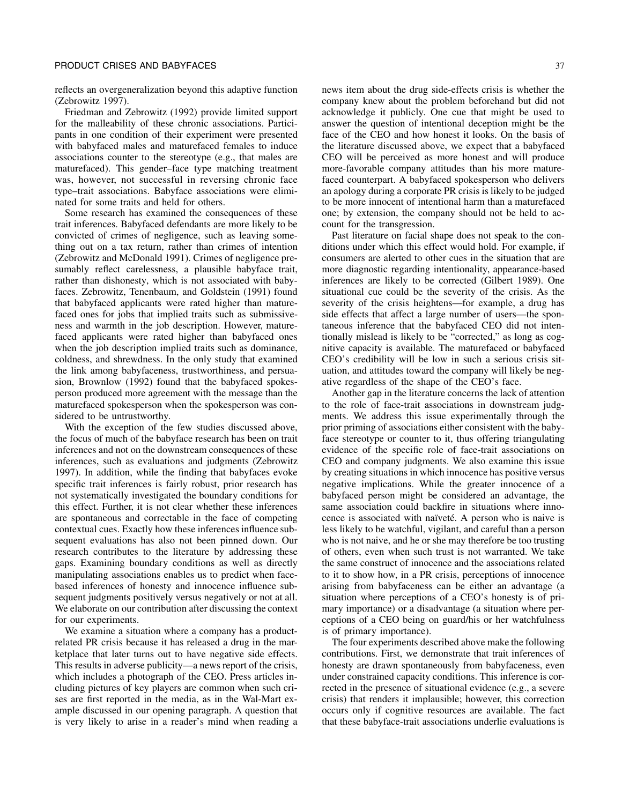reflects an overgeneralization beyond this adaptive function (Zebrowitz 1997).

Friedman and Zebrowitz (1992) provide limited support for the malleability of these chronic associations. Participants in one condition of their experiment were presented with babyfaced males and maturefaced females to induce associations counter to the stereotype (e.g., that males are maturefaced). This gender–face type matching treatment was, however, not successful in reversing chronic face type–trait associations. Babyface associations were eliminated for some traits and held for others.

Some research has examined the consequences of these trait inferences. Babyfaced defendants are more likely to be convicted of crimes of negligence, such as leaving something out on a tax return, rather than crimes of intention (Zebrowitz and McDonald 1991). Crimes of negligence presumably reflect carelessness, a plausible babyface trait, rather than dishonesty, which is not associated with babyfaces. Zebrowitz, Tenenbaum, and Goldstein (1991) found that babyfaced applicants were rated higher than maturefaced ones for jobs that implied traits such as submissiveness and warmth in the job description. However, maturefaced applicants were rated higher than babyfaced ones when the job description implied traits such as dominance, coldness, and shrewdness. In the only study that examined the link among babyfaceness, trustworthiness, and persuasion, Brownlow (1992) found that the babyfaced spokesperson produced more agreement with the message than the maturefaced spokesperson when the spokesperson was considered to be untrustworthy.

With the exception of the few studies discussed above, the focus of much of the babyface research has been on trait inferences and not on the downstream consequences of these inferences, such as evaluations and judgments (Zebrowitz 1997). In addition, while the finding that babyfaces evoke specific trait inferences is fairly robust, prior research has not systematically investigated the boundary conditions for this effect. Further, it is not clear whether these inferences are spontaneous and correctable in the face of competing contextual cues. Exactly how these inferences influence subsequent evaluations has also not been pinned down. Our research contributes to the literature by addressing these gaps. Examining boundary conditions as well as directly manipulating associations enables us to predict when facebased inferences of honesty and innocence influence subsequent judgments positively versus negatively or not at all. We elaborate on our contribution after discussing the context for our experiments.

We examine a situation where a company has a productrelated PR crisis because it has released a drug in the marketplace that later turns out to have negative side effects. This results in adverse publicity—a news report of the crisis, which includes a photograph of the CEO. Press articles including pictures of key players are common when such crises are first reported in the media, as in the Wal-Mart example discussed in our opening paragraph. A question that is very likely to arise in a reader's mind when reading a news item about the drug side-effects crisis is whether the company knew about the problem beforehand but did not acknowledge it publicly. One cue that might be used to answer the question of intentional deception might be the face of the CEO and how honest it looks. On the basis of the literature discussed above, we expect that a babyfaced CEO will be perceived as more honest and will produce more-favorable company attitudes than his more maturefaced counterpart. A babyfaced spokesperson who delivers an apology during a corporate PR crisis is likely to be judged to be more innocent of intentional harm than a maturefaced one; by extension, the company should not be held to account for the transgression.

Past literature on facial shape does not speak to the conditions under which this effect would hold. For example, if consumers are alerted to other cues in the situation that are more diagnostic regarding intentionality, appearance-based inferences are likely to be corrected (Gilbert 1989). One situational cue could be the severity of the crisis. As the severity of the crisis heightens—for example, a drug has side effects that affect a large number of users—the spontaneous inference that the babyfaced CEO did not intentionally mislead is likely to be "corrected," as long as cognitive capacity is available. The maturefaced or babyfaced CEO's credibility will be low in such a serious crisis situation, and attitudes toward the company will likely be negative regardless of the shape of the CEO's face.

Another gap in the literature concerns the lack of attention to the role of face-trait associations in downstream judgments. We address this issue experimentally through the prior priming of associations either consistent with the babyface stereotype or counter to it, thus offering triangulating evidence of the specific role of face-trait associations on CEO and company judgments. We also examine this issue by creating situations in which innocence has positive versus negative implications. While the greater innocence of a babyfaced person might be considered an advantage, the same association could backfire in situations where innocence is associated with naïveté. A person who is naive is less likely to be watchful, vigilant, and careful than a person who is not naive, and he or she may therefore be too trusting of others, even when such trust is not warranted. We take the same construct of innocence and the associations related to it to show how, in a PR crisis, perceptions of innocence arising from babyfaceness can be either an advantage (a situation where perceptions of a CEO's honesty is of primary importance) or a disadvantage (a situation where perceptions of a CEO being on guard/his or her watchfulness is of primary importance).

The four experiments described above make the following contributions. First, we demonstrate that trait inferences of honesty are drawn spontaneously from babyfaceness, even under constrained capacity conditions. This inference is corrected in the presence of situational evidence (e.g., a severe crisis) that renders it implausible; however, this correction occurs only if cognitive resources are available. The fact that these babyface-trait associations underlie evaluations is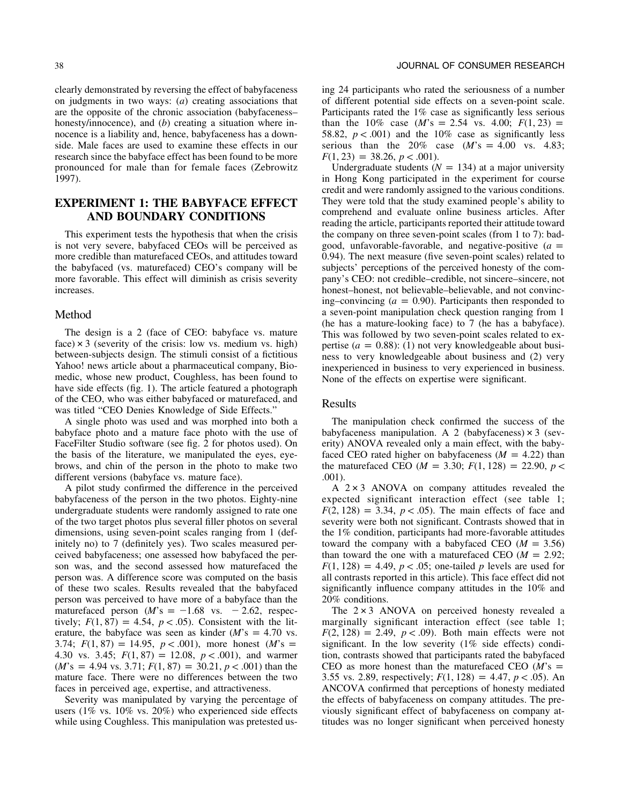clearly demonstrated by reversing the effect of babyfaceness on judgments in two ways: (*a*) creating associations that are the opposite of the chronic association (babyfaceness– honesty/innocence), and (*b*) creating a situation where innocence is a liability and, hence, babyfaceness has a downside. Male faces are used to examine these effects in our research since the babyface effect has been found to be more pronounced for male than for female faces (Zebrowitz 1997).

# **EXPERIMENT 1: THE BABYFACE EFFECT AND BOUNDARY CONDITIONS**

This experiment tests the hypothesis that when the crisis is not very severe, babyfaced CEOs will be perceived as more credible than maturefaced CEOs, and attitudes toward the babyfaced (vs. maturefaced) CEO's company will be more favorable. This effect will diminish as crisis severity increases.

#### Method

The design is a 2 (face of CEO: babyface vs. mature face)  $\times$  3 (severity of the crisis: low vs. medium vs. high) between-subjects design. The stimuli consist of a fictitious Yahoo! news article about a pharmaceutical company, Biomedic, whose new product, Coughless, has been found to have side effects (fig. 1). The article featured a photograph of the CEO, who was either babyfaced or maturefaced, and was titled "CEO Denies Knowledge of Side Effects."

A single photo was used and was morphed into both a babyface photo and a mature face photo with the use of FaceFilter Studio software (see fig. 2 for photos used). On the basis of the literature, we manipulated the eyes, eyebrows, and chin of the person in the photo to make two different versions (babyface vs. mature face).

A pilot study confirmed the difference in the perceived babyfaceness of the person in the two photos. Eighty-nine undergraduate students were randomly assigned to rate one of the two target photos plus several filler photos on several dimensions, using seven-point scales ranging from 1 (definitely no) to 7 (definitely yes). Two scales measured perceived babyfaceness; one assessed how babyfaced the person was, and the second assessed how maturefaced the person was. A difference score was computed on the basis of these two scales. Results revealed that the babyfaced person was perceived to have more of a babyface than the maturefaced person  $(M's = -1.68 \text{ vs. } -2.62, \text{ respec-}$ tively;  $F(1, 87) = 4.54$ ,  $p < .05$ ). Consistent with the literature, the babyface was seen as kinder  $(M's = 4.70$  vs. 3.74;  $F(1, 87) = 14.95$ ,  $p < .001$ ), more honest (*M*'s = 4.30 vs. 3.45;  $F(1, 87) = 12.08$ ,  $p < .001$ ), and warmer  $(M's = 4.94$  vs. 3.71;  $F(1, 87) = 30.21$ ,  $p < .001$ ) than the mature face. There were no differences between the two faces in perceived age, expertise, and attractiveness.

Severity was manipulated by varying the percentage of users (1% vs. 10% vs. 20%) who experienced side effects while using Coughless. This manipulation was pretested using 24 participants who rated the seriousness of a number of different potential side effects on a seven-point scale. Participants rated the 1% case as significantly less serious than the 10% case  $(M's = 2.54 \text{ vs. } 4.00; F(1, 23) =$ 58.82,  $p < .001$ ) and the 10% case as significantly less serious than the  $20\%$  case  $(M's = 4.00 \text{ vs. } 4.83;$  $F(1, 23) = 38.26, p < .001$ .

Undergraduate students  $(N = 134)$  at a major university in Hong Kong participated in the experiment for course credit and were randomly assigned to the various conditions. They were told that the study examined people's ability to comprehend and evaluate online business articles. After reading the article, participants reported their attitude toward the company on three seven-point scales (from 1 to 7): badgood, unfavorable-favorable, and negative-positive  $(a =$ 0.94). The next measure (five seven-point scales) related to subjects' perceptions of the perceived honesty of the company's CEO: not credible–credible, not sincere–sincere, not honest–honest, not believable–believable, and not convincing–convincing  $(a = 0.90)$ . Participants then responded to a seven-point manipulation check question ranging from 1 (he has a mature-looking face) to 7 (he has a babyface). This was followed by two seven-point scales related to expertise ( $a = 0.88$ ): (1) not very knowledgeable about business to very knowledgeable about business and (2) very inexperienced in business to very experienced in business. None of the effects on expertise were significant.

#### Results

The manipulation check confirmed the success of the babyfaceness manipulation. A 2 (babyfaceness)  $\times$  3 (severity) ANOVA revealed only a main effect, with the babyfaced CEO rated higher on babyfaceness  $(M = 4.22)$  than the maturefaced CEO ( $M = 3.30$ ;  $F(1, 128) = 22.90$ ,  $p <$ .001).

A  $2 \times 3$  ANOVA on company attitudes revealed the expected significant interaction effect (see table 1;  $F(2, 128) = 3.34, p < .05$ . The main effects of face and severity were both not significant. Contrasts showed that in the 1% condition, participants had more-favorable attitudes toward the company with a babyfaced CEO  $(M = 3.56)$ than toward the one with a maturefaced CEO  $(M = 2.92)$ ;  $F(1, 128) = 4.49$ ,  $p < .05$ ; one-tailed *p* levels are used for all contrasts reported in this article). This face effect did not significantly influence company attitudes in the 10% and 20% conditions.

The  $2 \times 3$  ANOVA on perceived honesty revealed a marginally significant interaction effect (see table 1;  $F(2, 128) = 2.49, p < .09$ . Both main effects were not significant. In the low severity (1% side effects) condition, contrasts showed that participants rated the babyfaced CEO as more honest than the maturefaced CEO  $(M)$ 's = 3.55 vs. 2.89, respectively;  $F(1, 128) = 4.47$ ,  $p < .05$ ). An ANCOVA confirmed that perceptions of honesty mediated the effects of babyfaceness on company attitudes. The previously significant effect of babyfaceness on company attitudes was no longer significant when perceived honesty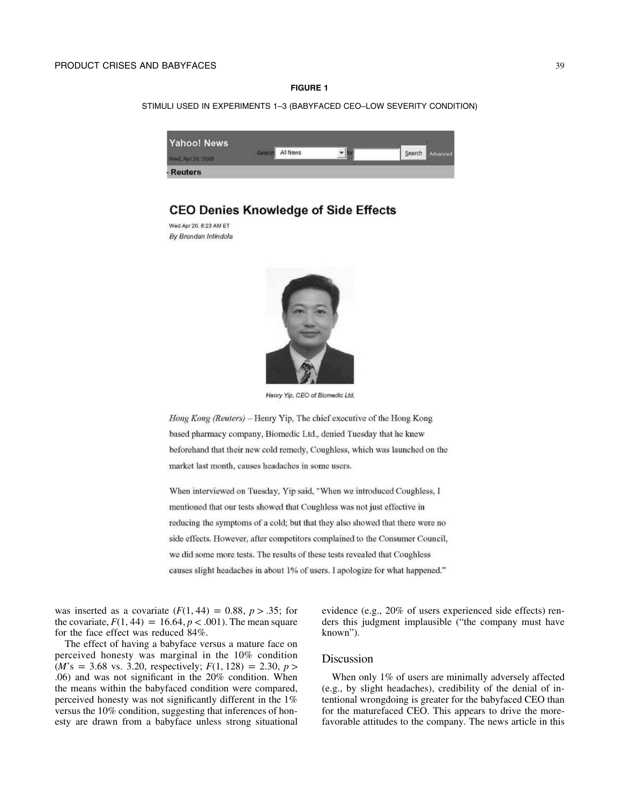#### **FIGURE 1**

#### STIMULI USED IN EXPERIMENTS 1–3 (BABYFACED CEO–LOW SEVERITY CONDITION)



# **CEO Denies Knowledge of Side Effects**

Wed Apr 20, 8:23 AM ET By Brendan Intindola



Henry Yip, CEO of Biomedic Ltd,

Hong Kong (Reuters) - Henry Yip, The chief executive of the Hong Kong based pharmacy company, Biomedic Ltd., denied Tuesday that he knew beforehand that their new cold remedy, Coughless, which was launched on the market last month, causes headaches in some users.

When interviewed on Tuesday, Yip said, "When we introduced Coughless, I mentioned that our tests showed that Coughless was not just effective in reducing the symptoms of a cold; but that they also showed that there were no side effects. However, after competitors complained to the Consumer Council, we did some more tests. The results of these tests revealed that Coughless causes slight headaches in about 1% of users. I apologize for what happened."

was inserted as a covariate  $(F(1, 44) = 0.88, p > .35;$  for the covariate,  $F(1, 44) = 16.64, p < .001$ . The mean square for the face effect was reduced 84%.

The effect of having a babyface versus a mature face on perceived honesty was marginal in the 10% condition  $(M's = 3.68$  vs. 3.20, respectively;  $F(1, 128) = 2.30, p > 1$ .06) and was not significant in the 20% condition. When the means within the babyfaced condition were compared, perceived honesty was not significantly different in the 1% versus the 10% condition, suggesting that inferences of honesty are drawn from a babyface unless strong situational evidence (e.g., 20% of users experienced side effects) renders this judgment implausible ("the company must have known").

#### Discussion

When only 1% of users are minimally adversely affected (e.g., by slight headaches), credibility of the denial of intentional wrongdoing is greater for the babyfaced CEO than for the maturefaced CEO. This appears to drive the morefavorable attitudes to the company. The news article in this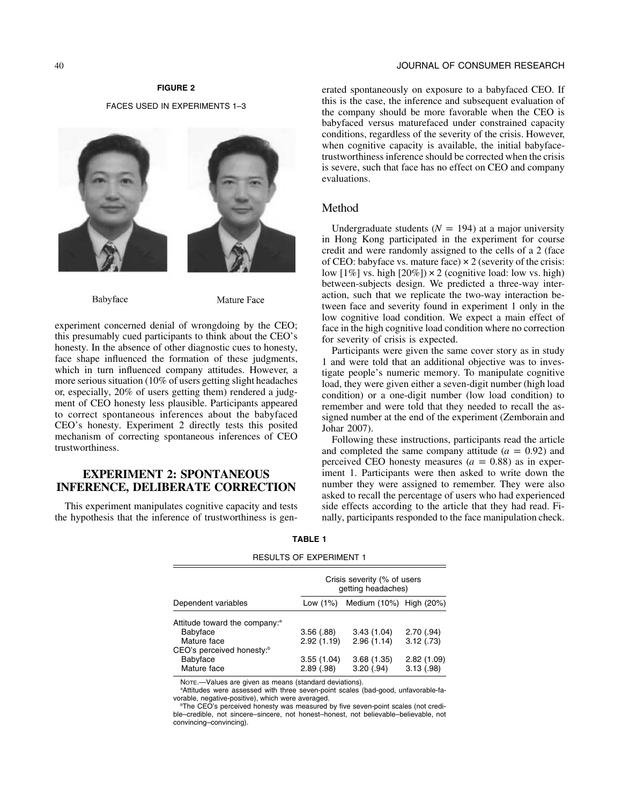# **FIGURE 2** FACES USED IN EXPERIMENTS 1–3



Babyface

Mature Face

experiment concerned denial of wrongdoing by the CEO; this presumably cued participants to think about the CEO's honesty. In the absence of other diagnostic cues to honesty, face shape influenced the formation of these judgments, which in turn influenced company attitudes. However, a more serious situation (10% of users getting slight headaches or, especially, 20% of users getting them) rendered a judgment of CEO honesty less plausible. Participants appeared to correct spontaneous inferences about the babyfaced CEO's honesty. Experiment 2 directly tests this posited mechanism of correcting spontaneous inferences of CEO trustworthiness.

# **EXPERIMENT 2: SPONTANEOUS INFERENCE, DELIBERATE CORRECTION**

This experiment manipulates cognitive capacity and tests the hypothesis that the inference of trustworthiness is generated spontaneously on exposure to a babyfaced CEO. If this is the case, the inference and subsequent evaluation of the company should be more favorable when the CEO is babyfaced versus maturefaced under constrained capacity conditions, regardless of the severity of the crisis. However, when cognitive capacity is available, the initial babyfacetrustworthiness inference should be corrected when the crisis is severe, such that face has no effect on CEO and company evaluations.

#### Method

Undergraduate students  $(N = 194)$  at a major university in Hong Kong participated in the experiment for course credit and were randomly assigned to the cells of a 2 (face of CEO: babyface vs. mature face)  $\times$  2 (severity of the crisis: low  $[1\%]$  vs. high  $[20\%] \times 2$  (cognitive load: low vs. high) between-subjects design. We predicted a three-way interaction, such that we replicate the two-way interaction between face and severity found in experiment 1 only in the low cognitive load condition. We expect a main effect of face in the high cognitive load condition where no correction for severity of crisis is expected.

Participants were given the same cover story as in study 1 and were told that an additional objective was to investigate people's numeric memory. To manipulate cognitive load, they were given either a seven-digit number (high load condition) or a one-digit number (low load condition) to remember and were told that they needed to recall the assigned number at the end of the experiment (Zemborain and Johar 2007).

Following these instructions, participants read the article and completed the same company attitude  $(a = 0.92)$  and perceived CEO honesty measures  $(a = 0.88)$  as in experiment 1. Participants were then asked to write down the number they were assigned to remember. They were also asked to recall the percentage of users who had experienced side effects according to the article that they had read. Finally, participants responded to the face manipulation check.

|                                           |            | Crisis severity (% of users<br>getting headaches) |            |  |
|-------------------------------------------|------------|---------------------------------------------------|------------|--|
| Dependent variables                       | Low (1%)   | Medium (10%) High (20%)                           |            |  |
| Attitude toward the company: <sup>a</sup> |            |                                                   |            |  |
| Babyface                                  | 3.56(.88)  | 3.43(1.04)                                        | 2.70(.94)  |  |
| Mature face                               | 2.92(1.19) | 2.96(1.14)                                        | 3.12(.73)  |  |
| CEO's perceived honesty: <sup>b</sup>     |            |                                                   |            |  |
| Babyface                                  | 3.55(1.04) | 3.68(1.35)                                        | 2.82(1.09) |  |
| Mature face                               | 2.89(.98)  | 3.20(.94)                                         | 3.13(.98)  |  |
|                                           |            |                                                   |            |  |

**TABLE 1** RESULTS OF EXPERIMENT 1

NOTE.—Values are given as means (standard deviations).

a Attitudes were assessed with three seven-point scales (bad-good, unfavorable-favorable, negative-positive), which were averaged.

<sup>b</sup>The CEO's perceived honesty was measured by five seven-point scales (not credible–credible, not sincere–sincere, not honest–honest, not believable–believable, not convincing–convincing).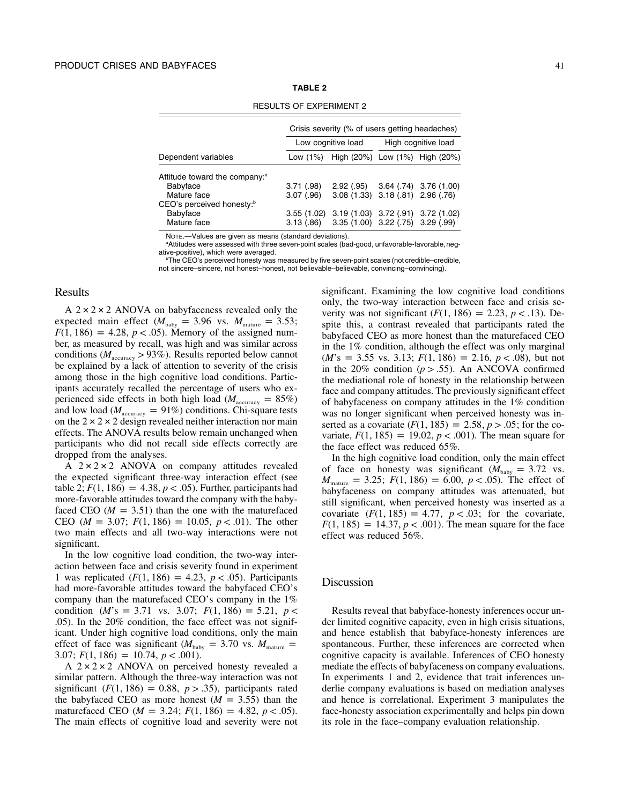| ⋍<br>. . |  |
|----------|--|
|----------|--|

|                                           | Crisis severity (% of users getting headaches) |                                                |                     |                            |
|-------------------------------------------|------------------------------------------------|------------------------------------------------|---------------------|----------------------------|
|                                           | Low cognitive load                             |                                                | High cognitive load |                            |
| Dependent variables                       | Low (1%)                                       | High (20%) Low (1%) High (20%)                 |                     |                            |
| Attitude toward the company: <sup>a</sup> |                                                |                                                |                     |                            |
| Babyface                                  | 3.71(.98)                                      | 2.92(.95)                                      |                     | $3.64$ (.74) $3.76$ (1.00) |
| Mature face                               | 3.07(0.96)                                     | 3.08 (1.33) 3.18 (.81) 2.96 (.76)              |                     |                            |
| CEO's perceived honesty: <sup>b</sup>     |                                                |                                                |                     |                            |
| Babyface                                  |                                                | 3.55 (1.02) 3.19 (1.03) 3.72 (.91) 3.72 (1.02) |                     |                            |
| Mature face                               | 3.13(.86)                                      | 3.35 (1.00) 3.22 (.75) 3.29 (.99)              |                     |                            |

RESULTS OF EXPERIMENT 2

NOTE.—Values are given as means (standard deviations).

<sup>a</sup>Attitudes were assessed with three seven-point scales (bad-good, unfavorable-favorable, negative-positive), which were averaged.

b The CEO's perceived honesty was measured by five seven-point scales (not credible–credible, not sincere–sincere, not honest–honest, not believable–believable, convincing–convincing).

#### Results

A  $2 \times 2 \times 2$  ANOVA on babyfaceness revealed only the expected main effect ( $M_{\text{baby}} = 3.96$  vs.  $M_{\text{matter}} = 3.53$ ;  $F(1, 186) = 4.28, p < .05$ . Memory of the assigned number, as measured by recall, was high and was similar across conditions ( $M_{\text{accuracy}} > 93\%$ ). Results reported below cannot be explained by a lack of attention to severity of the crisis among those in the high cognitive load conditions. Participants accurately recalled the percentage of users who experienced side effects in both high load ( $M_{\text{accuracy}} = 85\%$ ) and low load ( $M_{\text{accuracy}} = 91\%$ ) conditions. Chi-square tests on the  $2 \times 2 \times 2$  design revealed neither interaction nor main effects. The ANOVA results below remain unchanged when participants who did not recall side effects correctly are dropped from the analyses.

A  $2 \times 2 \times 2$  ANOVA on company attitudes revealed the expected significant three-way interaction effect (see table 2;  $F(1, 186) = 4.38, p < .05$ . Further, participants had more-favorable attitudes toward the company with the babyfaced CEO  $(M = 3.51)$  than the one with the maturefaced CEO ( $M = 3.07$ ;  $F(1, 186) = 10.05$ ,  $p < .01$ ). The other two main effects and all two-way interactions were not significant.

In the low cognitive load condition, the two-way interaction between face and crisis severity found in experiment 1 was replicated  $(F(1, 186) = 4.23, p < .05)$ . Participants had more-favorable attitudes toward the babyfaced CEO's company than the maturefaced CEO's company in the 1% condition (*M*'s = 3.71 vs. 3.07;  $F(1, 186) = 5.21$ ,  $p <$ .05). In the 20% condition, the face effect was not significant. Under high cognitive load conditions, only the main effect of face was significant ( $M_{\text{baby}} = 3.70$  vs.  $M_{\text{matter}} =$ 3.07;  $F(1, 186) = 10.74, p < .001$ .

A  $2 \times 2 \times 2$  ANOVA on perceived honesty revealed a similar pattern. Although the three-way interaction was not significant  $(F(1, 186) = 0.88, p > .35)$ , participants rated the babyfaced CEO as more honest  $(M = 3.55)$  than the maturefaced CEO ( $M = 3.24$ ;  $F(1, 186) = 4.82$ ,  $p < .05$ ). The main effects of cognitive load and severity were not

significant. Examining the low cognitive load conditions only, the two-way interaction between face and crisis severity was not significant  $(F(1, 186) = 2.23, p < .13)$ . Despite this, a contrast revealed that participants rated the babyfaced CEO as more honest than the maturefaced CEO in the 1% condition, although the effect was only marginal  $(M's = 3.55$  vs. 3.13;  $F(1, 186) = 2.16$ ,  $p < .08$ ), but not in the 20% condition ( $p > .55$ ). An ANCOVA confirmed the mediational role of honesty in the relationship between face and company attitudes. The previously significant effect of babyfaceness on company attitudes in the 1% condition was no longer significant when perceived honesty was inserted as a covariate  $(F(1, 185) = 2.58, p > .05$ ; for the covariate,  $F(1, 185) = 19.02$ ,  $p < .001$ ). The mean square for the face effect was reduced 65%.

In the high cognitive load condition, only the main effect of face on honesty was significant ( $M_{\text{baby}} = 3.72$  vs.  $M_{\text{matter}} = 3.25$ ;  $F(1, 186) = 6.00$ ,  $p < .05$ ). The effect of babyfaceness on company attitudes was attenuated, but still significant, when perceived honesty was inserted as a covariate  $(F(1, 185) = 4.77, p < .03;$  for the covariate,  $F(1, 185) = 14.37, p < .001$ . The mean square for the face effect was reduced 56%.

#### Discussion

Results reveal that babyface-honesty inferences occur under limited cognitive capacity, even in high crisis situations, and hence establish that babyface-honesty inferences are spontaneous. Further, these inferences are corrected when cognitive capacity is available. Inferences of CEO honesty mediate the effects of babyfaceness on company evaluations. In experiments 1 and 2, evidence that trait inferences underlie company evaluations is based on mediation analyses and hence is correlational. Experiment 3 manipulates the face-honesty association experimentally and helps pin down its role in the face–company evaluation relationship.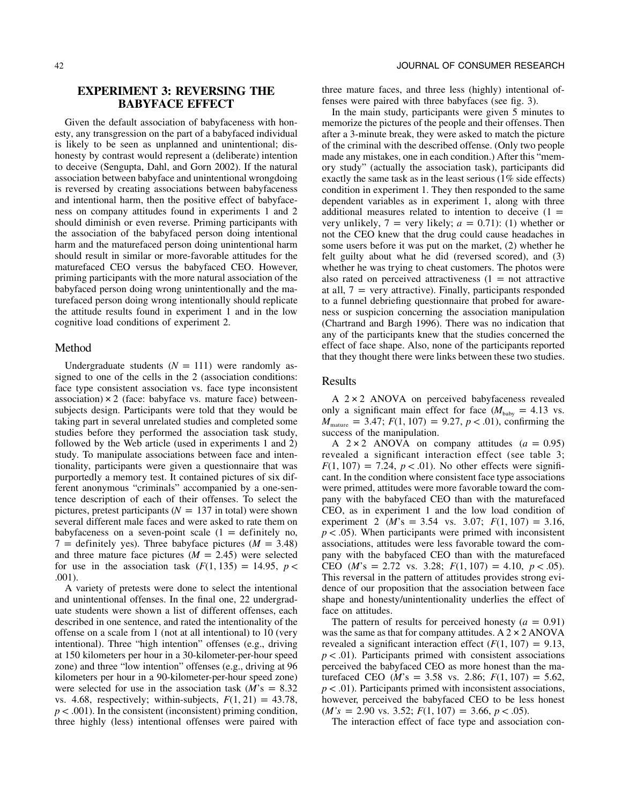# **EXPERIMENT 3: REVERSING THE BABYFACE EFFECT**

Given the default association of babyfaceness with honesty, any transgression on the part of a babyfaced individual is likely to be seen as unplanned and unintentional; dishonesty by contrast would represent a (deliberate) intention to deceive (Sengupta, Dahl, and Gorn 2002). If the natural association between babyface and unintentional wrongdoing is reversed by creating associations between babyfaceness and intentional harm, then the positive effect of babyfaceness on company attitudes found in experiments 1 and 2 should diminish or even reverse. Priming participants with the association of the babyfaced person doing intentional harm and the maturefaced person doing unintentional harm should result in similar or more-favorable attitudes for the maturefaced CEO versus the babyfaced CEO. However, priming participants with the more natural association of the babyfaced person doing wrong unintentionally and the maturefaced person doing wrong intentionally should replicate the attitude results found in experiment 1 and in the low cognitive load conditions of experiment 2.

#### Method

Undergraduate students  $(N = 111)$  were randomly assigned to one of the cells in the 2 (association conditions: face type consistent association vs. face type inconsistent association)  $\times$  2 (face: babyface vs. mature face) betweensubjects design. Participants were told that they would be taking part in several unrelated studies and completed some studies before they performed the association task study, followed by the Web article (used in experiments 1 and 2) study. To manipulate associations between face and intentionality, participants were given a questionnaire that was purportedly a memory test. It contained pictures of six different anonymous "criminals" accompanied by a one-sentence description of each of their offenses. To select the pictures, pretest participants ( $N = 137$  in total) were shown several different male faces and were asked to rate them on babyfaceness on a seven-point scale  $(1 -$  definitely no,  $7$  = definitely yes). Three babyface pictures ( $M = 3.48$ ) and three mature face pictures  $(M = 2.45)$  were selected for use in the association task  $(F(1, 135) = 14.95, p <$ .001).

A variety of pretests were done to select the intentional and unintentional offenses. In the final one, 22 undergraduate students were shown a list of different offenses, each described in one sentence, and rated the intentionality of the offense on a scale from 1 (not at all intentional) to 10 (very intentional). Three "high intention" offenses (e.g., driving at 150 kilometers per hour in a 30-kilometer-per-hour speed zone) and three "low intention" offenses (e.g., driving at 96 kilometers per hour in a 90-kilometer-per-hour speed zone) were selected for use in the association task  $(M<sup>s</sup> = 8.32)$ vs. 4.68, respectively; within-subjects,  $F(1, 21) = 43.78$ ,  $p < .001$ ). In the consistent (inconsistent) priming condition, three highly (less) intentional offenses were paired with three mature faces, and three less (highly) intentional offenses were paired with three babyfaces (see fig. 3).

In the main study, participants were given 5 minutes to memorize the pictures of the people and their offenses. Then after a 3-minute break, they were asked to match the picture of the criminal with the described offense. (Only two people made any mistakes, one in each condition.) After this "memory study" (actually the association task), participants did exactly the same task as in the least serious (1% side effects) condition in experiment 1. They then responded to the same dependent variables as in experiment 1, along with three additional measures related to intention to deceive  $(1 =$ very unlikely,  $7 = \text{very likely}$ ;  $a = 0.71$ : (1) whether or not the CEO knew that the drug could cause headaches in some users before it was put on the market, (2) whether he felt guilty about what he did (reversed scored), and (3) whether he was trying to cheat customers. The photos were also rated on perceived attractiveness  $(1 = not attractive)$ at all,  $7 =$  very attractive). Finally, participants responded to a funnel debriefing questionnaire that probed for awareness or suspicion concerning the association manipulation (Chartrand and Bargh 1996). There was no indication that any of the participants knew that the studies concerned the effect of face shape. Also, none of the participants reported that they thought there were links between these two studies.

#### Results

A  $2 \times 2$  ANOVA on perceived babyfaceness revealed only a significant main effect for face  $(M_{\text{baby}} = 4.13 \text{ vs.})$  $M_{\text{matter}} = 3.47; F(1, 107) = 9.27, p < .01$ , confirming the success of the manipulation.

A  $2 \times 2$  ANOVA on company attitudes ( $a = 0.95$ ) revealed a significant interaction effect (see table 3;  $F(1, 107) = 7.24$ ,  $p < .01$ ). No other effects were significant. In the condition where consistent face type associations were primed, attitudes were more favorable toward the company with the babyfaced CEO than with the maturefaced CEO, as in experiment 1 and the low load condition of experiment 2 ( $M$ 's = 3.54 vs. 3.07;  $F(1, 107) = 3.16$ ,  $p < .05$ ). When participants were primed with inconsistent associations, attitudes were less favorable toward the company with the babyfaced CEO than with the maturefaced CEO (*M*'s = 2.72 vs. 3.28;  $F(1, 107) = 4.10, p < .05$ ). This reversal in the pattern of attitudes provides strong evidence of our proposition that the association between face shape and honesty/unintentionality underlies the effect of face on attitudes.

The pattern of results for perceived honesty  $(a = 0.91)$ was the same as that for company attitudes. A  $2 \times 2$  ANOVA revealed a significant interaction effect  $(F(1, 107) = 9.13$ ,  $p < .01$ ). Participants primed with consistent associations perceived the babyfaced CEO as more honest than the maturefaced CEO ( $M$ 's = 3.58 vs. 2.86;  $F(1, 107) = 5.62$ ,  $p < .01$ ). Participants primed with inconsistent associations, however, perceived the babyfaced CEO to be less honest  $(M's = 2.90 \text{ vs. } 3.52; F(1, 107) = 3.66, p < .05).$ 

The interaction effect of face type and association con-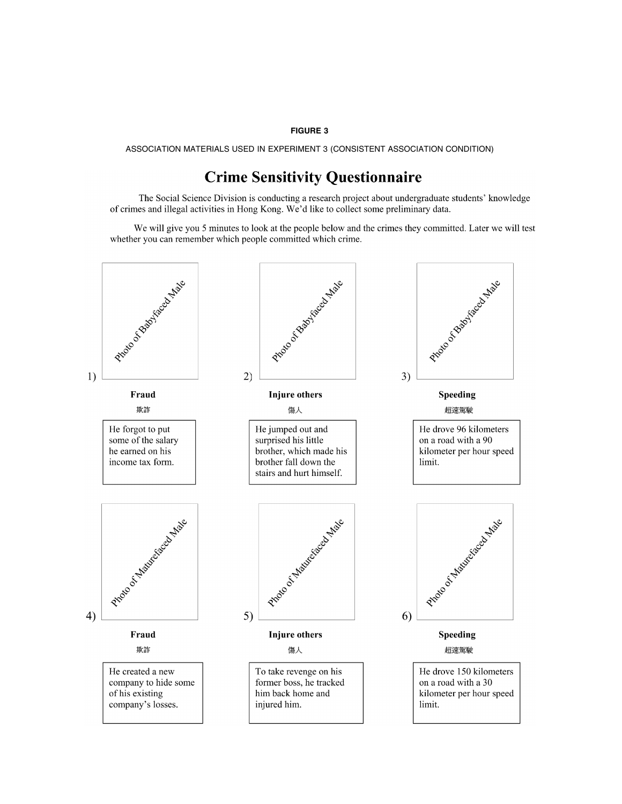#### **FIGURE 3**

ASSOCIATION MATERIALS USED IN EXPERIMENT 3 (CONSISTENT ASSOCIATION CONDITION)

# **Crime Sensitivity Questionnaire**

The Social Science Division is conducting a research project about undergraduate students' knowledge of crimes and illegal activities in Hong Kong, We'd like to collect some preliminary data.

We will give you 5 minutes to look at the people below and the crimes they committed. Later we will test whether you can remember which people committed which crime.

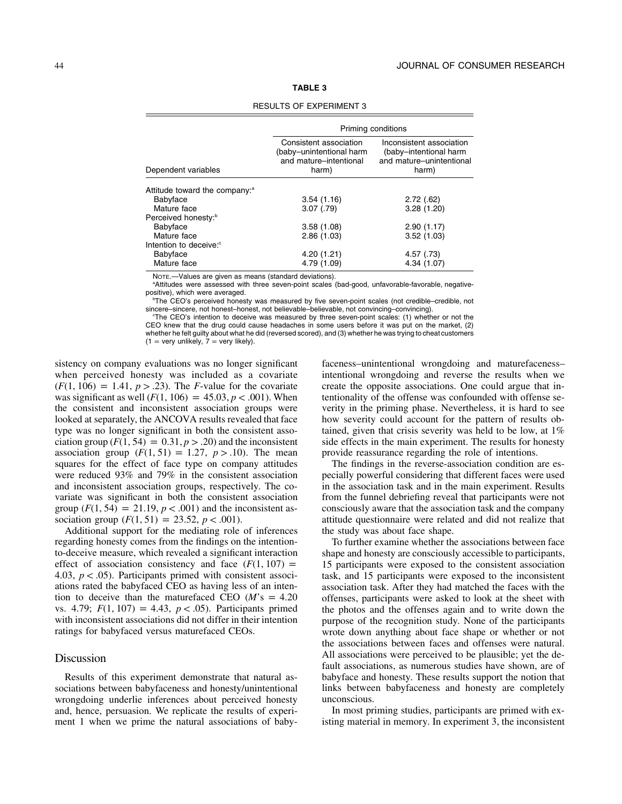| Р<br>44<br>ᇻ |  |
|--------------|--|
|--------------|--|

|                                           | Priming conditions                                                                    |                                                                                         |  |
|-------------------------------------------|---------------------------------------------------------------------------------------|-----------------------------------------------------------------------------------------|--|
| Dependent variables                       | Consistent association<br>(baby-unintentional harm<br>and mature-intentional<br>harm) | Inconsistent association<br>(baby-intentional harm<br>and mature-unintentional<br>harm) |  |
| Attitude toward the company: <sup>a</sup> |                                                                                       |                                                                                         |  |
| Babyface                                  | 3.54(1.16)                                                                            | 2.72(.62)                                                                               |  |
| Mature face                               | 3.07(0.79)                                                                            | 3.28(1.20)                                                                              |  |
| Perceived honesty: <sup>b</sup>           |                                                                                       |                                                                                         |  |
| Babyface                                  | 3.58(1.08)                                                                            | 2.90(1.17)                                                                              |  |
| Mature face                               | 2.86(1.03)                                                                            | 3.52(1.03)                                                                              |  |
| Intention to deceive: <sup>c</sup>        |                                                                                       |                                                                                         |  |
| Babyface                                  | 4.20(1.21)                                                                            | 4.57 (.73)                                                                              |  |
| Mature face                               | 4.79 (1.09)                                                                           | 4.34 (1.07)                                                                             |  |

RESULTS OF EXPERIMENT 3

NOTE.—Values are given as means (standard deviations).

a Attitudes were assessed with three seven-point scales (bad-good, unfavorable-favorable, negativepositive), which were averaged.

b The CEO's perceived honesty was measured by five seven-point scales (not credible–credible, not sincere–sincere, not honest–honest, not believable–believable, not convincing–convincing).

c The CEO's intention to deceive was measured by three seven-point scales: (1) whether or not the CEO knew that the drug could cause headaches in some users before it was put on the market, (2) whether he felt guilty about what he did (reversed scored), and (3) whether he was trying to cheat customers  $(1 = \text{very unlikely}, 7 = \text{very likely}).$ 

sistency on company evaluations was no longer significant when perceived honesty was included as a covariate  $(F(1, 106) = 1.41, p > .23)$ . The *F*-value for the covariate was significant as well  $(F(1, 106) = 45.03, p < .001)$ . When the consistent and inconsistent association groups were looked at separately, the ANCOVA results revealed that face type was no longer significant in both the consistent association group  $(F(1, 54) = 0.31, p > .20)$  and the inconsistent association group  $(F(1, 51) = 1.27, p > .10)$ . The mean squares for the effect of face type on company attitudes were reduced 93% and 79% in the consistent association and inconsistent association groups, respectively. The covariate was significant in both the consistent association group  $(F(1, 54) = 21.19, p < .001)$  and the inconsistent association group  $(F(1, 51) = 23.52, p < .001)$ .

Additional support for the mediating role of inferences regarding honesty comes from the findings on the intentionto-deceive measure, which revealed a significant interaction effect of association consistency and face  $(F(1, 107))$  = 4.03,  $p < .05$ ). Participants primed with consistent associations rated the babyfaced CEO as having less of an intention to deceive than the maturefaced CEO  $(M's = 4.20)$ vs. 4.79;  $F(1, 107) = 4.43$ ,  $p < .05$ ). Participants primed with inconsistent associations did not differ in their intention ratings for babyfaced versus maturefaced CEOs.

#### Discussion

Results of this experiment demonstrate that natural associations between babyfaceness and honesty/unintentional wrongdoing underlie inferences about perceived honesty and, hence, persuasion. We replicate the results of experiment 1 when we prime the natural associations of baby-

faceness–unintentional wrongdoing and maturefaceness– intentional wrongdoing and reverse the results when we create the opposite associations. One could argue that intentionality of the offense was confounded with offense severity in the priming phase. Nevertheless, it is hard to see how severity could account for the pattern of results obtained, given that crisis severity was held to be low, at 1% side effects in the main experiment. The results for honesty provide reassurance regarding the role of intentions.

The findings in the reverse-association condition are especially powerful considering that different faces were used in the association task and in the main experiment. Results from the funnel debriefing reveal that participants were not consciously aware that the association task and the company attitude questionnaire were related and did not realize that the study was about face shape.

To further examine whether the associations between face shape and honesty are consciously accessible to participants, 15 participants were exposed to the consistent association task, and 15 participants were exposed to the inconsistent association task. After they had matched the faces with the offenses, participants were asked to look at the sheet with the photos and the offenses again and to write down the purpose of the recognition study. None of the participants wrote down anything about face shape or whether or not the associations between faces and offenses were natural. All associations were perceived to be plausible; yet the default associations, as numerous studies have shown, are of babyface and honesty. These results support the notion that links between babyfaceness and honesty are completely unconscious.

In most priming studies, participants are primed with existing material in memory. In experiment 3, the inconsistent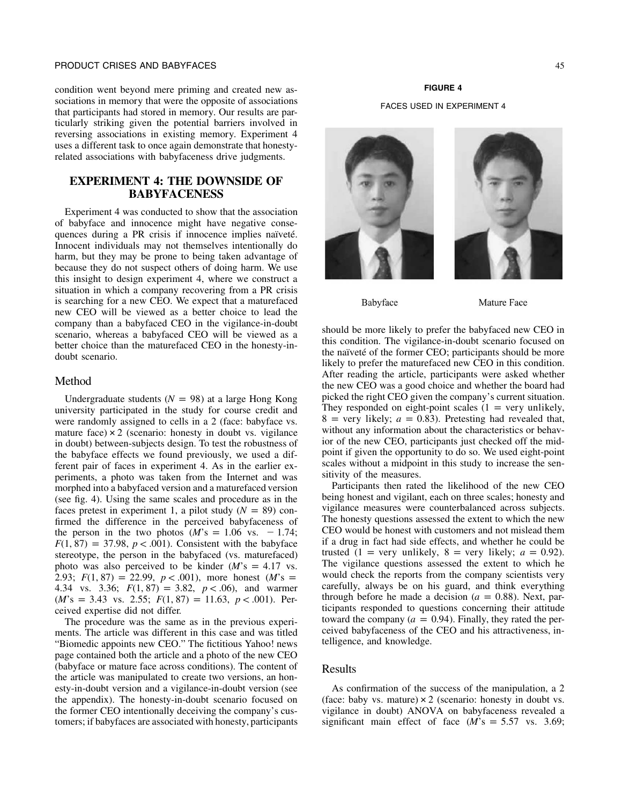#### PRODUCT CRISES AND BABYFACES 45 AND 45

condition went beyond mere priming and created new associations in memory that were the opposite of associations that participants had stored in memory. Our results are particularly striking given the potential barriers involved in reversing associations in existing memory. Experiment 4 uses a different task to once again demonstrate that honestyrelated associations with babyfaceness drive judgments.

# **EXPERIMENT 4: THE DOWNSIDE OF BABYFACENESS**

Experiment 4 was conducted to show that the association of babyface and innocence might have negative consequences during a PR crisis if innocence implies naïveté. Innocent individuals may not themselves intentionally do harm, but they may be prone to being taken advantage of because they do not suspect others of doing harm. We use this insight to design experiment 4, where we construct a situation in which a company recovering from a PR crisis is searching for a new CEO. We expect that a maturefaced new CEO will be viewed as a better choice to lead the company than a babyfaced CEO in the vigilance-in-doubt scenario, whereas a babyfaced CEO will be viewed as a better choice than the maturefaced CEO in the honesty-indoubt scenario.

#### Method

Undergraduate students  $(N = 98)$  at a large Hong Kong university participated in the study for course credit and were randomly assigned to cells in a 2 (face: babyface vs. mature face)  $\times$  2 (scenario: honesty in doubt vs. vigilance in doubt) between-subjects design. To test the robustness of the babyface effects we found previously, we used a different pair of faces in experiment 4. As in the earlier experiments, a photo was taken from the Internet and was morphed into a babyfaced version and a maturefaced version (see fig. 4). Using the same scales and procedure as in the faces pretest in experiment 1, a pilot study  $(N = 89)$  confirmed the difference in the perceived babyfaceness of the person in the two photos  $(M's = 1.06 \text{ vs. } -1.74;$  $F(1, 87) = 37.98, p < .001$ . Consistent with the babyface stereotype, the person in the babyfaced (vs. maturefaced) photo was also perceived to be kinder  $(M's = 4.17 \text{ vs.})$ 2.93;  $F(1, 87) = 22.99$ ,  $p < .001$ ), more honest (*M*'s = 4.34 vs. 3.36;  $F(1, 87) = 3.82, p < .06$ , and warmer  $(M's = 3.43$  vs. 2.55;  $F(1, 87) = 11.63$ ,  $p < .001$ ). Perceived expertise did not differ.

The procedure was the same as in the previous experiments. The article was different in this case and was titled "Biomedic appoints new CEO." The fictitious Yahoo! news page contained both the article and a photo of the new CEO (babyface or mature face across conditions). The content of the article was manipulated to create two versions, an honesty-in-doubt version and a vigilance-in-doubt version (see the appendix). The honesty-in-doubt scenario focused on the former CEO intentionally deceiving the company's customers; if babyfaces are associated with honesty, participants

# **FIGURE 4** FACES USED IN EXPERIMENT 4



Babyface

Mature Face

should be more likely to prefer the babyfaced new CEO in this condition. The vigilance-in-doubt scenario focused on the naïveté of the former CEO; participants should be more likely to prefer the maturefaced new CEO in this condition. After reading the article, participants were asked whether the new CEO was a good choice and whether the board had picked the right CEO given the company's current situation. They responded on eight-point scales  $(1 = \text{very unlikely},$  $8 =$  very likely;  $a = 0.83$ ). Pretesting had revealed that, without any information about the characteristics or behavior of the new CEO, participants just checked off the midpoint if given the opportunity to do so. We used eight-point scales without a midpoint in this study to increase the sensitivity of the measures.

Participants then rated the likelihood of the new CEO being honest and vigilant, each on three scales; honesty and vigilance measures were counterbalanced across subjects. The honesty questions assessed the extent to which the new CEO would be honest with customers and not mislead them if a drug in fact had side effects, and whether he could be trusted  $(1 = \text{very unlikely}, 8 = \text{very likely}; a = 0.92)$ . The vigilance questions assessed the extent to which he would check the reports from the company scientists very carefully, always be on his guard, and think everything through before he made a decision ( $a = 0.88$ ). Next, participants responded to questions concerning their attitude toward the company ( $a = 0.94$ ). Finally, they rated the perceived babyfaceness of the CEO and his attractiveness, intelligence, and knowledge.

# Results

As confirmation of the success of the manipulation, a 2 (face: baby vs. mature)  $\times$  2 (scenario: honesty in doubt vs. vigilance in doubt) ANOVA on babyfaceness revealed a significant main effect of face  $(M's = 5.57 \text{ vs. } 3.69;$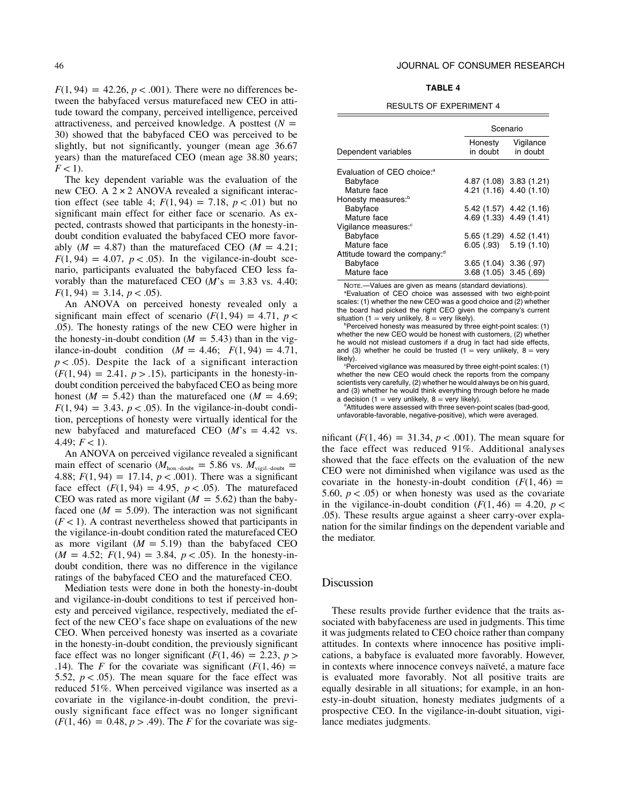$F(1, 94) = 42.26, p < .001$ . There were no differences between the babyfaced versus maturefaced new CEO in attitude toward the company, perceived intelligence, perceived attractiveness, and perceived knowledge. A posttest  $(N =$ 30) showed that the babyfaced CEO was perceived to be slightly, but not significantly, younger (mean age 36.67 years) than the maturefaced CEO (mean age 38.80 years;  $F < 1$ ).

The key dependent variable was the evaluation of the new CEO. A  $2 \times 2$  ANOVA revealed a significant interaction effect (see table 4;  $F(1, 94) = 7.18$ ,  $p < .01$ ) but no significant main effect for either face or scenario. As expected, contrasts showed that participants in the honesty-indoubt condition evaluated the babyfaced CEO more favorably  $(M = 4.87)$  than the maturefaced CEO  $(M = 4.21)$ ;  $F(1, 94) = 4.07$ ,  $p < .05$ ). In the vigilance-in-doubt scenario, participants evaluated the babyfaced CEO less favorably than the maturefaced CEO  $(M's = 3.83$  vs. 4.40;  $F(1, 94) = 3.14, p < .05$ .

An ANOVA on perceived honesty revealed only a significant main effect of scenario  $(F(1, 94) = 4.71, p <$ .05). The honesty ratings of the new CEO were higher in the honesty-in-doubt condition ( $M = 5.43$ ) than in the vigilance-in-doubt condition  $(M = 4.46; F(1, 94) = 4.71,$  $p < .05$ ). Despite the lack of a significant interaction  $(F(1, 94) = 2.41, p > .15)$ , participants in the honesty-indoubt condition perceived the babyfaced CEO as being more honest ( $M = 5.42$ ) than the maturefaced one ( $M = 4.69$ ;  $F(1, 94) = 3.43, p < .05$ . In the vigilance-in-doubt condition, perceptions of honesty were virtually identical for the new babyfaced and maturefaced CEO  $(M's = 4.42$  vs. 4.49;  $F < 1$ ).

An ANOVA on perceived vigilance revealed a significant main effect of scenario ( $M_{\text{hon-doubt}} = 5.86$  vs.  $M_{\text{vigil-doubt}} =$ 4.88;  $F(1, 94) = 17.14$ ,  $p < .001$ ). There was a significant face effect  $(F(1, 94) = 4.95, p < .05)$ . The maturefaced CEO was rated as more vigilant ( $M = 5.62$ ) than the babyfaced one ( $M = 5.09$ ). The interaction was not significant  $(F < 1)$ . A contrast nevertheless showed that participants in the vigilance-in-doubt condition rated the maturefaced CEO as more vigilant  $(M = 5.19)$  than the babyfaced CEO  $(M = 4.52; F(1, 94) = 3.84, p < .05)$ . In the honesty-indoubt condition, there was no difference in the vigilance ratings of the babyfaced CEO and the maturefaced CEO.

Mediation tests were done in both the honesty-in-doubt and vigilance-in-doubt conditions to test if perceived honesty and perceived vigilance, respectively, mediated the effect of the new CEO's face shape on evaluations of the new CEO. When perceived honesty was inserted as a covariate in the honesty-in-doubt condition, the previously significant face effect was no longer significant  $(F(1, 46) = 2.23, p >$ .14). The *F* for the covariate was significant  $(F(1, 46)) =$ 5.52,  $p < .05$ ). The mean square for the face effect was reduced 51%. When perceived vigilance was inserted as a covariate in the vigilance-in-doubt condition, the previously significant face effect was no longer significant  $(F(1, 46) = 0.48, p > .49)$ . The *F* for the covariate was sig-

#### **TABLE 4**

#### RESULTS OF EXPERIMENT 4

|                                           |                          | Scenario                 |  |  |
|-------------------------------------------|--------------------------|--------------------------|--|--|
| Dependent variables                       | Honesty<br>in doubt      | Vigilance<br>in doubt    |  |  |
| Evaluation of CEO choice: <sup>a</sup>    |                          |                          |  |  |
| Babyface                                  |                          | 4.87 (1.08) 3.83 (1.21)  |  |  |
| Mature face                               |                          | 4.21 (1.16) 4.40 (1.10)  |  |  |
| Honesty measures: <sup>b</sup>            |                          |                          |  |  |
| Babyface                                  |                          | $5.42(1.57)$ 4.42 (1.16) |  |  |
| Mature face                               |                          | 4.69 (1.33) 4.49 (1.41)  |  |  |
| Vigilance measures: <sup>c</sup>          |                          |                          |  |  |
| Babyface                                  |                          | $5.65(1.29)$ 4.52 (1.41) |  |  |
| Mature face                               | 6.05(.93)                | 5.19(1.10)               |  |  |
| Attitude toward the company: <sup>d</sup> |                          |                          |  |  |
| Babyface                                  | $3.65(1.04)$ $3.36(.97)$ |                          |  |  |
| Mature face                               | 3.68 (1.05) 3.45 (.69)   |                          |  |  |

NOTE.—Values are given as means (standard deviations).

a Evaluation of CEO choice was assessed with two eight-point scales: (1) whether the new CEO was a good choice and (2) whether the board had picked the right CEO given the company's current situation (1 = very unlikely,  $8$  = very likely).

Perceived honesty was measured by three eight-point scales: (1) whether the new CEO would be honest with customers, (2) whether he would not mislead customers if a drug in fact had side effects, and (3) whether he could be trusted ( $1 =$  very unlikely,  $8 =$  very likely).

c Perceived vigilance was measured by three eight-point scales: (1) whether the new CEO would check the reports from the company scientists very carefully, (2) whether he would always be on his guard, and (3) whether he would think everything through before he made a decision (1 = very unlikely,  $8 =$  very likely).

Attitudes were assessed with three seven-point scales (bad-good, unfavorable-favorable, negative-positive), which were averaged.

nificant  $(F(1, 46) = 31.34, p < .001)$ . The mean square for the face effect was reduced 91%. Additional analyses showed that the face effects on the evaluation of the new CEO were not diminished when vigilance was used as the covariate in the honesty-in-doubt condition  $(F(1, 46) =$ 5.60,  $p < .05$  or when honesty was used as the covariate in the vigilance-in-doubt condition  $(F(1, 46) = 4.20, p <$ .05). These results argue against a sheer carry-over explanation for the similar findings on the dependent variable and the mediator.

#### Discussion

These results provide further evidence that the traits associated with babyfaceness are used in judgments. This time it was judgments related to CEO choice rather than company attitudes. In contexts where innocence has positive implications, a babyface is evaluated more favorably. However, in contexts where innocence conveys naïveté, a mature face is evaluated more favorably. Not all positive traits are equally desirable in all situations; for example, in an honesty-in-doubt situation, honesty mediates judgments of a prospective CEO. In the vigilance-in-doubt situation, vigilance mediates judgments.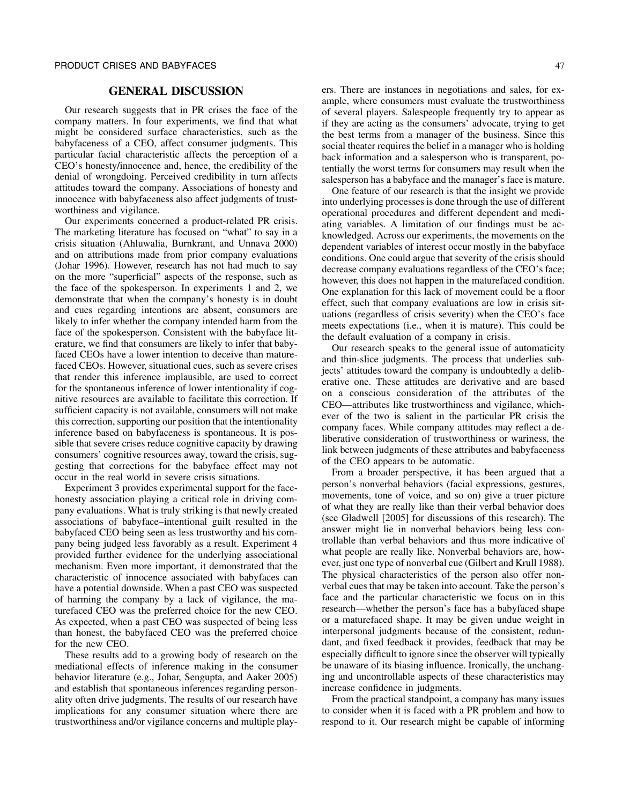#### **GENERAL DISCUSSION**

Our research suggests that in PR crises the face of the company matters. In four experiments, we find that what might be considered surface characteristics, such as the babyfaceness of a CEO, affect consumer judgments. This particular facial characteristic affects the perception of a CEO's honesty/innocence and, hence, the credibility of the denial of wrongdoing. Perceived credibility in turn affects attitudes toward the company. Associations of honesty and innocence with babyfaceness also affect judgments of trustworthiness and vigilance.

Our experiments concerned a product-related PR crisis. The marketing literature has focused on "what" to say in a crisis situation (Ahluwalia, Burnkrant, and Unnava 2000) and on attributions made from prior company evaluations (Johar 1996). However, research has not had much to say on the more "superficial" aspects of the response, such as the face of the spokesperson. In experiments 1 and 2, we demonstrate that when the company's honesty is in doubt and cues regarding intentions are absent, consumers are likely to infer whether the company intended harm from the face of the spokesperson. Consistent with the babyface literature, we find that consumers are likely to infer that babyfaced CEOs have a lower intention to deceive than maturefaced CEOs. However, situational cues, such as severe crises that render this inference implausible, are used to correct for the spontaneous inference of lower intentionality if cognitive resources are available to facilitate this correction. If sufficient capacity is not available, consumers will not make this correction, supporting our position that the intentionality inference based on babyfaceness is spontaneous. It is possible that severe crises reduce cognitive capacity by drawing consumers' cognitive resources away, toward the crisis, suggesting that corrections for the babyface effect may not occur in the real world in severe crisis situations.

Experiment 3 provides experimental support for the facehonesty association playing a critical role in driving company evaluations. What is truly striking is that newly created associations of babyface–intentional guilt resulted in the babyfaced CEO being seen as less trustworthy and his company being judged less favorably as a result. Experiment 4 provided further evidence for the underlying associational mechanism. Even more important, it demonstrated that the characteristic of innocence associated with babyfaces can have a potential downside. When a past CEO was suspected of harming the company by a lack of vigilance, the maturefaced CEO was the preferred choice for the new CEO. As expected, when a past CEO was suspected of being less than honest, the babyfaced CEO was the preferred choice for the new CEO.

These results add to a growing body of research on the mediational effects of inference making in the consumer behavior literature (e.g., Johar, Sengupta, and Aaker 2005) and establish that spontaneous inferences regarding personality often drive judgments. The results of our research have implications for any consumer situation where there are trustworthiness and/or vigilance concerns and multiple players. There are instances in negotiations and sales, for example, where consumers must evaluate the trustworthiness of several players. Salespeople frequently try to appear as if they are acting as the consumers' advocate, trying to get the best terms from a manager of the business. Since this social theater requires the belief in a manager who is holding back information and a salesperson who is transparent, potentially the worst terms for consumers may result when the salesperson has a babyface and the manager's face is mature.

One feature of our research is that the insight we provide into underlying processes is done through the use of different operational procedures and different dependent and mediating variables. A limitation of our findings must be acknowledged. Across our experiments, the movements on the dependent variables of interest occur mostly in the babyface conditions. One could argue that severity of the crisis should decrease company evaluations regardless of the CEO's face; however, this does not happen in the maturefaced condition. One explanation for this lack of movement could be a floor effect, such that company evaluations are low in crisis situations (regardless of crisis severity) when the CEO's face meets expectations (i.e., when it is mature). This could be the default evaluation of a company in crisis.

Our research speaks to the general issue of automaticity and thin-slice judgments. The process that underlies subjects' attitudes toward the company is undoubtedly a deliberative one. These attitudes are derivative and are based on a conscious consideration of the attributes of the CEO—attributes like trustworthiness and vigilance, whichever of the two is salient in the particular PR crisis the company faces. While company attitudes may reflect a deliberative consideration of trustworthiness or wariness, the link between judgments of these attributes and babyfaceness of the CEO appears to be automatic.

From a broader perspective, it has been argued that a person's nonverbal behaviors (facial expressions, gestures, movements, tone of voice, and so on) give a truer picture of what they are really like than their verbal behavior does (see Gladwell [2005] for discussions of this research). The answer might lie in nonverbal behaviors being less controllable than verbal behaviors and thus more indicative of what people are really like. Nonverbal behaviors are, however, just one type of nonverbal cue (Gilbert and Krull 1988). The physical characteristics of the person also offer nonverbal cues that may be taken into account. Take the person's face and the particular characteristic we focus on in this research—whether the person's face has a babyfaced shape or a maturefaced shape. It may be given undue weight in interpersonal judgments because of the consistent, redundant, and fixed feedback it provides, feedback that may be especially difficult to ignore since the observer will typically be unaware of its biasing influence. Ironically, the unchanging and uncontrollable aspects of these characteristics may increase confidence in judgments.

From the practical standpoint, a company has many issues to consider when it is faced with a PR problem and how to respond to it. Our research might be capable of informing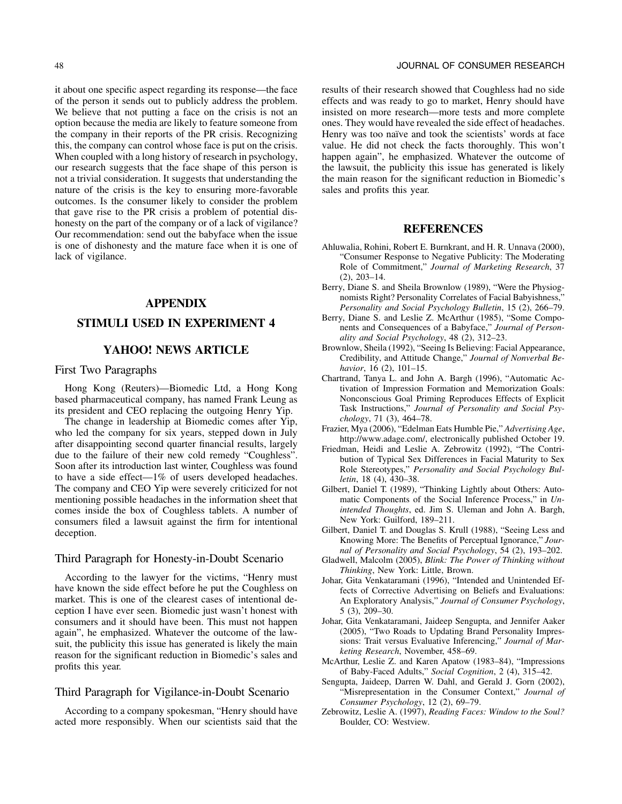it about one specific aspect regarding its response—the face of the person it sends out to publicly address the problem. We believe that not putting a face on the crisis is not an option because the media are likely to feature someone from the company in their reports of the PR crisis. Recognizing this, the company can control whose face is put on the crisis. When coupled with a long history of research in psychology, our research suggests that the face shape of this person is not a trivial consideration. It suggests that understanding the nature of the crisis is the key to ensuring more-favorable outcomes. Is the consumer likely to consider the problem that gave rise to the PR crisis a problem of potential dishonesty on the part of the company or of a lack of vigilance? Our recommendation: send out the babyface when the issue is one of dishonesty and the mature face when it is one of lack of vigilance.

## **APPENDIX**

# **STIMULI USED IN EXPERIMENT 4**

# **YAHOO! NEWS ARTICLE**

#### First Two Paragraphs

Hong Kong (Reuters)—Biomedic Ltd, a Hong Kong based pharmaceutical company, has named Frank Leung as its president and CEO replacing the outgoing Henry Yip.

The change in leadership at Biomedic comes after Yip, who led the company for six years, stepped down in July after disappointing second quarter financial results, largely due to the failure of their new cold remedy "Coughless". Soon after its introduction last winter, Coughless was found to have a side effect—1% of users developed headaches. The company and CEO Yip were severely criticized for not mentioning possible headaches in the information sheet that comes inside the box of Coughless tablets. A number of consumers filed a lawsuit against the firm for intentional deception.

#### Third Paragraph for Honesty-in-Doubt Scenario

According to the lawyer for the victims, "Henry must have known the side effect before he put the Coughless on market. This is one of the clearest cases of intentional deception I have ever seen. Biomedic just wasn't honest with consumers and it should have been. This must not happen again", he emphasized. Whatever the outcome of the lawsuit, the publicity this issue has generated is likely the main reason for the significant reduction in Biomedic's sales and profits this year.

# Third Paragraph for Vigilance-in-Doubt Scenario

According to a company spokesman, "Henry should have acted more responsibly. When our scientists said that the results of their research showed that Coughless had no side effects and was ready to go to market, Henry should have insisted on more research—more tests and more complete ones. They would have revealed the side effect of headaches. Henry was too naïve and took the scientists' words at face value. He did not check the facts thoroughly. This won't happen again", he emphasized. Whatever the outcome of the lawsuit, the publicity this issue has generated is likely the main reason for the significant reduction in Biomedic's sales and profits this year.

# **REFERENCES**

- Ahluwalia, Rohini, Robert E. Burnkrant, and H. R. Unnava (2000), "Consumer Response to Negative Publicity: The Moderating Role of Commitment," *Journal of Marketing Research*, 37 (2), 203–14.
- Berry, Diane S. and Sheila Brownlow (1989), "Were the Physiognomists Right? Personality Correlates of Facial Babyishness," *Personality and Social Psychology Bulletin*, 15 (2), 266–79.
- Berry, Diane S. and Leslie Z. McArthur (1985), "Some Components and Consequences of a Babyface," *Journal of Personality and Social Psychology*, 48 (2), 312–23.
- Brownlow, Sheila (1992), "Seeing Is Believing: Facial Appearance, Credibility, and Attitude Change," *Journal of Nonverbal Behavior*, 16 (2), 101–15.
- Chartrand, Tanya L. and John A. Bargh (1996), "Automatic Activation of Impression Formation and Memorization Goals: Nonconscious Goal Priming Reproduces Effects of Explicit Task Instructions," *Journal of Personality and Social Psychology*, 71 (3), 464–78.
- Frazier, Mya (2006), "Edelman Eats Humble Pie," *Advertising Age*, http://www.adage.com/, electronically published October 19.
- Friedman, Heidi and Leslie A. Zebrowitz (1992), "The Contribution of Typical Sex Differences in Facial Maturity to Sex Role Stereotypes," *Personality and Social Psychology Bulletin*, 18 (4), 430–38.
- Gilbert, Daniel T. (1989), "Thinking Lightly about Others: Automatic Components of the Social Inference Process," in *Unintended Thoughts*, ed. Jim S. Uleman and John A. Bargh, New York: Guilford, 189–211.
- Gilbert, Daniel T. and Douglas S. Krull (1988), "Seeing Less and Knowing More: The Benefits of Perceptual Ignorance," *Journal of Personality and Social Psychology*, 54 (2), 193–202.
- Gladwell, Malcolm (2005), *Blink: The Power of Thinking without Thinking*, New York: Little, Brown.
- Johar, Gita Venkataramani (1996), "Intended and Unintended Effects of Corrective Advertising on Beliefs and Evaluations: An Exploratory Analysis," *Journal of Consumer Psychology*, 5 (3), 209–30.
- Johar, Gita Venkataramani, Jaideep Sengupta, and Jennifer Aaker (2005), "Two Roads to Updating Brand Personality Impressions: Trait versus Evaluative Inferencing," *Journal of Marketing Research*, November, 458–69.
- McArthur, Leslie Z. and Karen Apatow (1983–84), "Impressions of Baby-Faced Adults," *Social Cognition*, 2 (4), 315–42.
- Sengupta, Jaideep, Darren W. Dahl, and Gerald J. Gorn (2002), "Misrepresentation in the Consumer Context," *Journal of Consumer Psychology*, 12 (2), 69–79.
- Zebrowitz, Leslie A. (1997), *Reading Faces: Window to the Soul?* Boulder, CO: Westview.